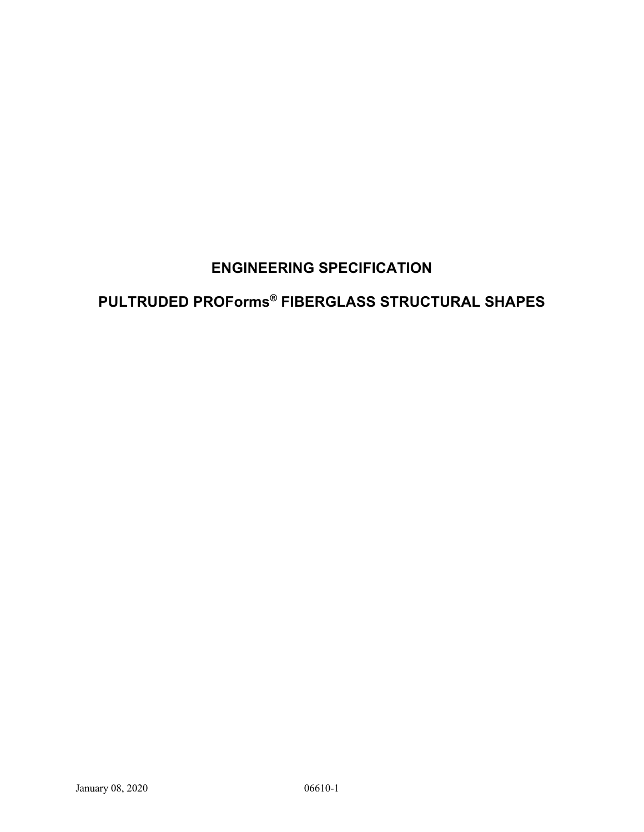## **ENGINEERING SPECIFICATION**

# **PULTRUDED PROForms® FIBERGLASS STRUCTURAL SHAPES**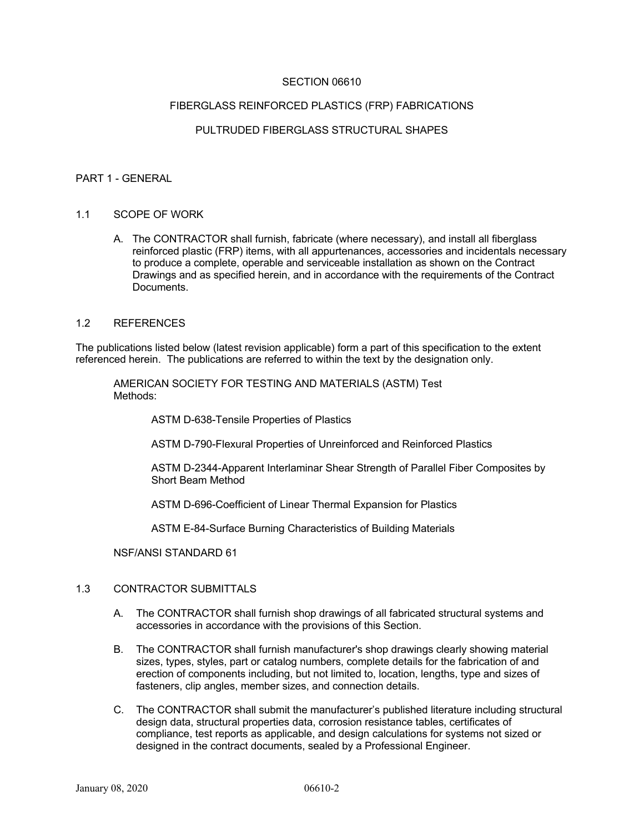## SECTION 06610

#### FIBERGLASS REINFORCED PLASTICS (FRP) FABRICATIONS

## PULTRUDED FIBERGLASS STRUCTURAL SHAPES

#### PART 1 - GENERAL

#### 1.1 SCOPE OF WORK

A. The CONTRACTOR shall furnish, fabricate (where necessary), and install all fiberglass reinforced plastic (FRP) items, with all appurtenances, accessories and incidentals necessary to produce a complete, operable and serviceable installation as shown on the Contract Drawings and as specified herein, and in accordance with the requirements of the Contract Documents.

#### 1.2 REFERENCES

The publications listed below (latest revision applicable) form a part of this specification to the extent referenced herein. The publications are referred to within the text by the designation only.

AMERICAN SOCIETY FOR TESTING AND MATERIALS (ASTM) Test Methods:

ASTM D-638-Tensile Properties of Plastics

ASTM D-790-Flexural Properties of Unreinforced and Reinforced Plastics

ASTM D-2344-Apparent Interlaminar Shear Strength of Parallel Fiber Composites by Short Beam Method

ASTM D-696-Coefficient of Linear Thermal Expansion for Plastics

ASTM E-84-Surface Burning Characteristics of Building Materials

NSF/ANSI STANDARD 61

## 1.3 CONTRACTOR SUBMITTALS

- A. The CONTRACTOR shall furnish shop drawings of all fabricated structural systems and accessories in accordance with the provisions of this Section.
- B. The CONTRACTOR shall furnish manufacturer's shop drawings clearly showing material sizes, types, styles, part or catalog numbers, complete details for the fabrication of and erection of components including, but not limited to, location, lengths, type and sizes of fasteners, clip angles, member sizes, and connection details.
- C. The CONTRACTOR shall submit the manufacturer's published literature including structural design data, structural properties data, corrosion resistance tables, certificates of compliance, test reports as applicable, and design calculations for systems not sized or designed in the contract documents, sealed by a Professional Engineer.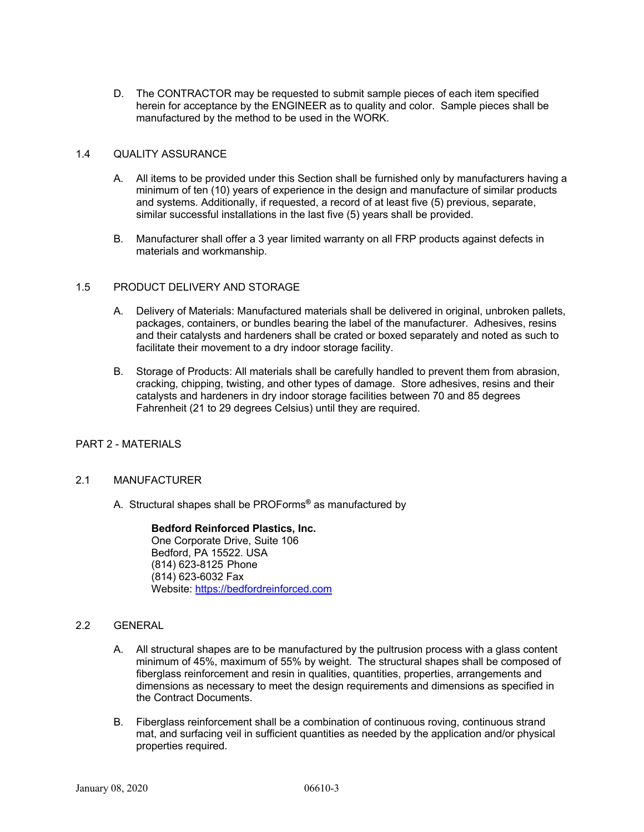D. The CONTRACTOR may be requested to submit sample pieces of each item specified herein for acceptance by the ENGINEER as to quality and color. Sample pieces shall be manufactured by the method to be used in the WORK.

### 1.4 QUALITY ASSURANCE

- A. All items to be provided under this Section shall be furnished only by manufacturers having a minimum of ten (10) years of experience in the design and manufacture of similar products and systems. Additionally, if requested, a record of at least five (5) previous, separate, similar successful installations in the last five (5) years shall be provided.
- B. Manufacturer shall offer a 3 year limited warranty on all FRP products against defects in materials and workmanship.

#### 1.5 PRODUCT DELIVERY AND STORAGE

- A. Delivery of Materials: Manufactured materials shall be delivered in original, unbroken pallets, packages, containers, or bundles bearing the label of the manufacturer. Adhesives, resins and their catalysts and hardeners shall be crated or boxed separately and noted as such to facilitate their movement to a dry indoor storage facility.
- B. Storage of Products: All materials shall be carefully handled to prevent them from abrasion, cracking, chipping, twisting, and other types of damage. Store adhesives, resins and their catalysts and hardeners in dry indoor storage facilities between 70 and 85 degrees Fahrenheit (21 to 29 degrees Celsius) until they are required.

#### PART 2 - MATERIALS

#### 2.1 MANUFACTURER

A. Structural shapes shall be PROForms**®** as manufactured by

**Bedford Reinforced Plastics, Inc.** One Corporate Drive, Suite 106 Bedford, PA 15522. USA (814) 623-8125 Phone (814) 623-6032 Fax Website: https://bedfordreinforced.com

### 2.2 GENERAL

- A. All structural shapes are to be manufactured by the pultrusion process with a glass content minimum of 45%, maximum of 55% by weight. The structural shapes shall be composed of fiberglass reinforcement and resin in qualities, quantities, properties, arrangements and dimensions as necessary to meet the design requirements and dimensions as specified in the Contract Documents.
- B. Fiberglass reinforcement shall be a combination of continuous roving, continuous strand mat, and surfacing veil in sufficient quantities as needed by the application and/or physical properties required.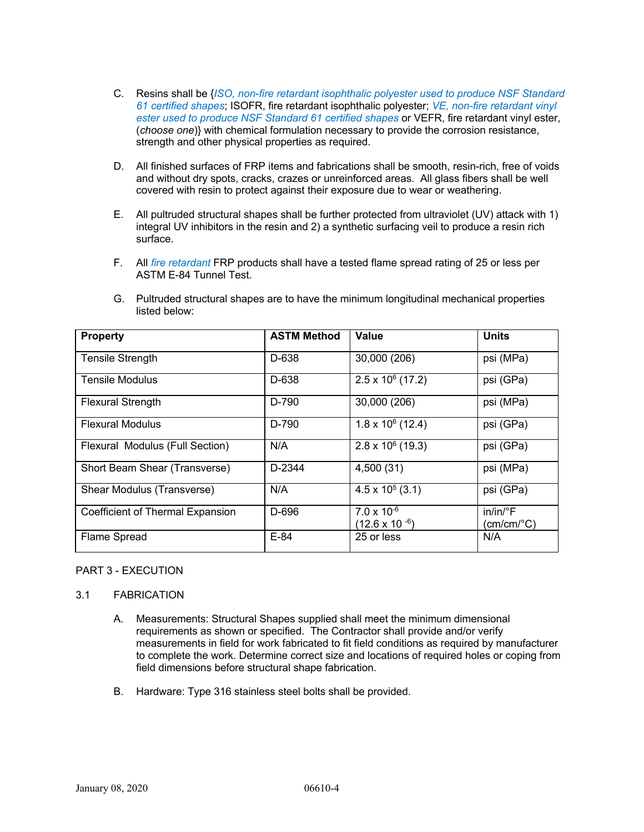- C. Resins shall be {*ISO, non-fire retardant isophthalic polyester used to produce NSF Standard 61 certified shapes*; ISOFR, fire retardant isophthalic polyester; *VE, non-fire retardant vinyl ester used to produce NSF Standard 61 certified shapes* or VEFR, fire retardant vinyl ester, (*choose one*)} with chemical formulation necessary to provide the corrosion resistance, strength and other physical properties as required.
- D. All finished surfaces of FRP items and fabrications shall be smooth, resin-rich, free of voids and without dry spots, cracks, crazes or unreinforced areas. All glass fibers shall be well covered with resin to protect against their exposure due to wear or weathering.
- E. All pultruded structural shapes shall be further protected from ultraviolet (UV) attack with 1) integral UV inhibitors in the resin and 2) a synthetic surfacing veil to produce a resin rich surface.
- F. All *fire retardant* FRP products shall have a tested flame spread rating of 25 or less per ASTM E-84 Tunnel Test.

| <b>Property</b>                  | <b>ASTM Method</b> | Value                                           | <b>Units</b>                                      |
|----------------------------------|--------------------|-------------------------------------------------|---------------------------------------------------|
| <b>Tensile Strength</b>          | D-638              | 30,000 (206)                                    | psi (MPa)                                         |
| <b>Tensile Modulus</b>           | D-638              | $2.5 \times 10^6$ (17.2)                        | psi (GPa)                                         |
| <b>Flexural Strength</b>         | D-790              | 30,000 (206)                                    | psi (MPa)                                         |
| <b>Flexural Modulus</b>          | D-790              | $\overline{1.8}$ x 10 <sup>6</sup> (12.4)       | psi (GPa)                                         |
| Flexural Modulus (Full Section)  | N/A                | $2.8 \times 10^6$ (19.3)                        | psi (GPa)                                         |
| Short Beam Shear (Transverse)    | D-2344             | 4,500 (31)                                      | psi (MPa)                                         |
| Shear Modulus (Transverse)       | N/A                | $4.5 \times 10^5$ (3.1)                         | psi (GPa)                                         |
| Coefficient of Thermal Expansion | D-696              | $7.0 \times 10^{-6}$<br>$(12.6 \times 10^{-6})$ | $in/in/{}^{\circ}F$<br>$(cm/cm$ <sup>o</sup> $C)$ |
| Flame Spread                     | $E-84$             | 25 or less                                      | N/A                                               |

G. Pultruded structural shapes are to have the minimum longitudinal mechanical properties listed below:

## PART 3 - EXECUTION

#### 3.1 FABRICATION

- A. Measurements: Structural Shapes supplied shall meet the minimum dimensional requirements as shown or specified. The Contractor shall provide and/or verify measurements in field for work fabricated to fit field conditions as required by manufacturer to complete the work. Determine correct size and locations of required holes or coping from field dimensions before structural shape fabrication.
- B. Hardware: Type 316 stainless steel bolts shall be provided.